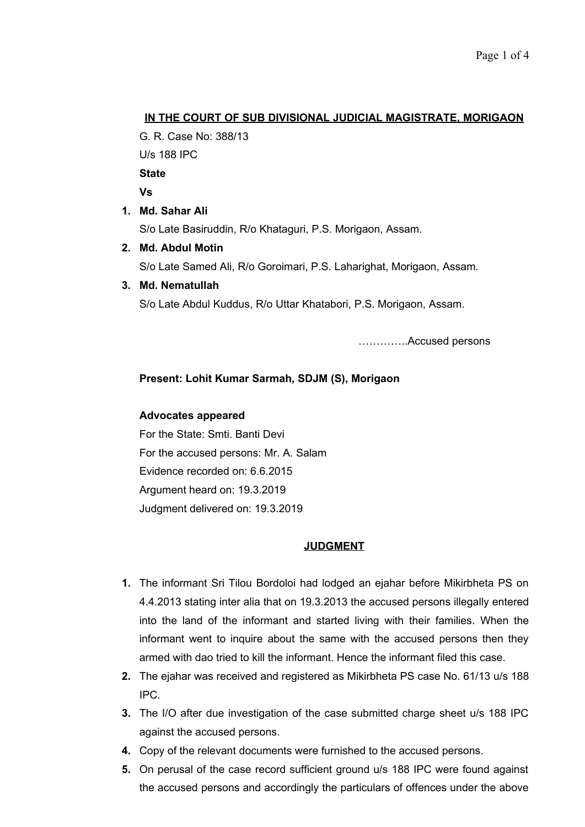# **IN THE COURT OF SUB DIVISIONAL JUDICIAL MAGISTRATE, MORIGAON**

G. R. Case No: 388/13

U/s 188 IPC

**State**

**Vs** 

**1. Md. Sahar Ali**

S/o Late Basiruddin, R/o Khataguri, P.S. Morigaon, Assam.

**2. Md. Abdul Motin**

S/o Late Samed Ali, R/o Goroimari, P.S. Laharighat, Morigaon, Assam.

## **3. Md. Nematullah**

S/o Late Abdul Kuddus, R/o Uttar Khatabori, P.S. Morigaon, Assam.

…………..Accused persons

# **Present: Lohit Kumar Sarmah, SDJM (S), Morigaon**

## **Advocates appeared**

For the State: Smti. Banti Devi For the accused persons: Mr. A. Salam Evidence recorded on: 6.6.2015 Argument heard on: 19.3.2019 Judgment delivered on: 19.3.2019

## **JUDGMENT**

- **1.** The informant Sri Tilou Bordoloi had lodged an ejahar before Mikirbheta PS on 4.4.2013 stating inter alia that on 19.3.2013 the accused persons illegally entered into the land of the informant and started living with their families. When the informant went to inquire about the same with the accused persons then they armed with dao tried to kill the informant. Hence the informant filed this case.
- **2.** The ejahar was received and registered as Mikirbheta PS case No. 61/13 u/s 188 IPC.
- **3.** The I/O after due investigation of the case submitted charge sheet u/s 188 IPC against the accused persons.
- **4.** Copy of the relevant documents were furnished to the accused persons.
- **5.** On perusal of the case record sufficient ground u/s 188 IPC were found against the accused persons and accordingly the particulars of offences under the above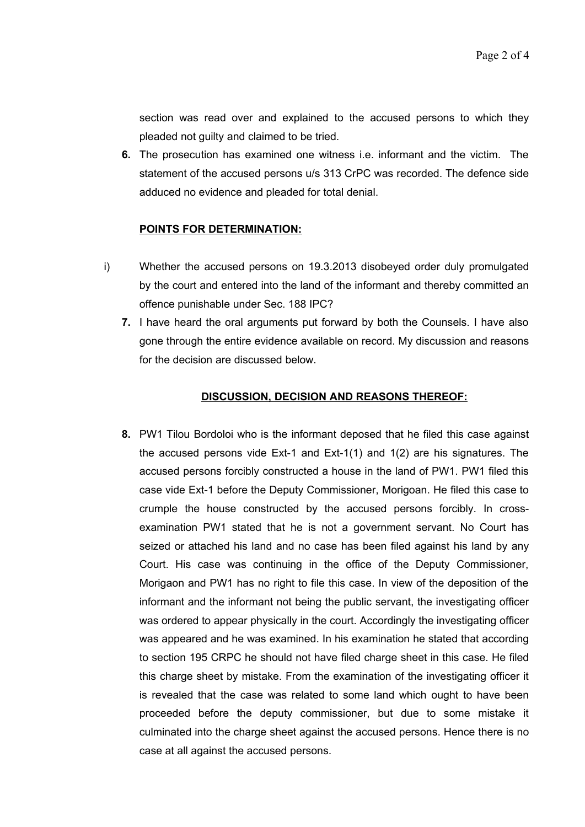section was read over and explained to the accused persons to which they pleaded not guilty and claimed to be tried.

**6.** The prosecution has examined one witness i.e. informant and the victim. The statement of the accused persons u/s 313 CrPC was recorded. The defence side adduced no evidence and pleaded for total denial.

#### **POINTS FOR DETERMINATION:**

- i) Whether the accused persons on 19.3.2013 disobeyed order duly promulgated by the court and entered into the land of the informant and thereby committed an offence punishable under Sec. 188 IPC?
	- **7.** I have heard the oral arguments put forward by both the Counsels. I have also gone through the entire evidence available on record. My discussion and reasons for the decision are discussed below.

#### **DISCUSSION, DECISION AND REASONS THEREOF:**

**8.** PW1 Tilou Bordoloi who is the informant deposed that he filed this case against the accused persons vide Ext-1 and Ext-1(1) and 1(2) are his signatures. The accused persons forcibly constructed a house in the land of PW1. PW1 filed this case vide Ext-1 before the Deputy Commissioner, Morigoan. He filed this case to crumple the house constructed by the accused persons forcibly. In crossexamination PW1 stated that he is not a government servant. No Court has seized or attached his land and no case has been filed against his land by any Court. His case was continuing in the office of the Deputy Commissioner, Morigaon and PW1 has no right to file this case. In view of the deposition of the informant and the informant not being the public servant, the investigating officer was ordered to appear physically in the court. Accordingly the investigating officer was appeared and he was examined. In his examination he stated that according to section 195 CRPC he should not have filed charge sheet in this case. He filed this charge sheet by mistake. From the examination of the investigating officer it is revealed that the case was related to some land which ought to have been proceeded before the deputy commissioner, but due to some mistake it culminated into the charge sheet against the accused persons. Hence there is no case at all against the accused persons.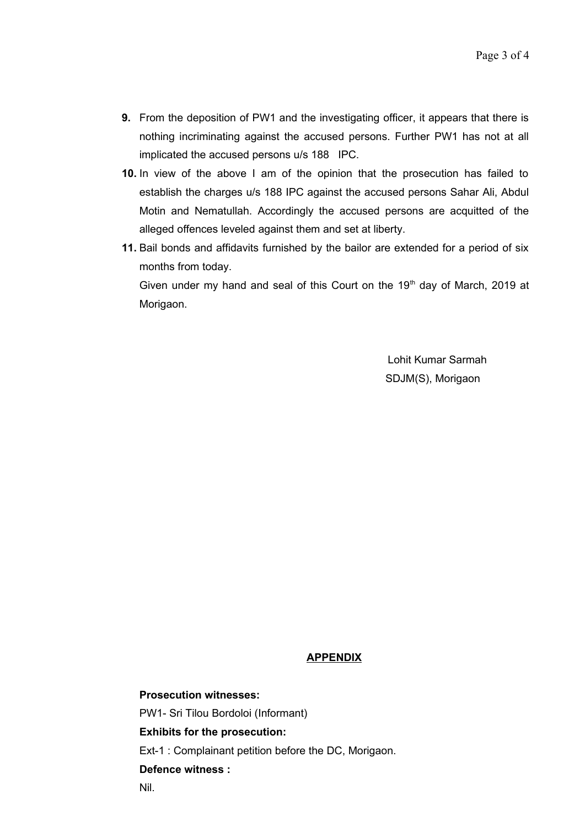- **9.** From the deposition of PW1 and the investigating officer, it appears that there is nothing incriminating against the accused persons. Further PW1 has not at all implicated the accused persons u/s 188 IPC.
- **10.** In view of the above I am of the opinion that the prosecution has failed to establish the charges u/s 188 IPC against the accused persons Sahar Ali, Abdul Motin and Nematullah. Accordingly the accused persons are acquitted of the alleged offences leveled against them and set at liberty.
- **11.** Bail bonds and affidavits furnished by the bailor are extended for a period of six months from today.

Given under my hand and seal of this Court on the  $19<sup>th</sup>$  day of March, 2019 at Morigaon.

> Lohit Kumar Sarmah SDJM(S), Morigaon

#### **APPENDIX**

**Prosecution witnesses:** PW1- Sri Tilou Bordoloi (Informant) **Exhibits for the prosecution:** Ext-1 : Complainant petition before the DC, Morigaon. **Defence witness :**

Nil.